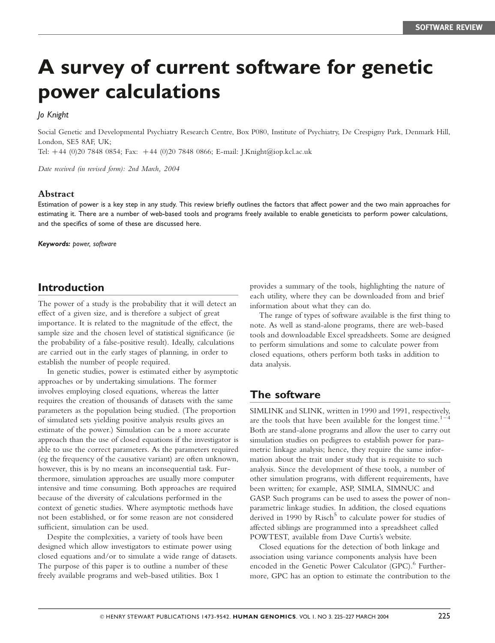# A survey of current software for genetic power calculations

#### Jo Knight

Social Genetic and Developmental Psychiatry Research Centre, Box P080, Institute of Psychiatry, De Crespigny Park, Denmark Hill, London, SE5 8AF, UK;

Tel:  $+44$  (0)20 7848 0854; Fax:  $+44$  (0)20 7848 0866; E-mail: J.Knight@iop.kcl.ac.uk

Date received (in revised form): 2nd March, 2004

#### Abstract

Estimation of power is a key step in any study. This review briefly outlines the factors that affect power and the two main approaches for estimating it. There are a number of web-based tools and programs freely available to enable geneticists to perform power calculations, and the specifics of some of these are discussed here.

Keywords: power, software

## Introduction

The power of a study is the probability that it will detect an effect of a given size, and is therefore a subject of great importance. It is related to the magnitude of the effect, the sample size and the chosen level of statistical significance (ie the probability of a false-positive result). Ideally, calculations are carried out in the early stages of planning, in order to establish the number of people required.

In genetic studies, power is estimated either by asymptotic approaches or by undertaking simulations. The former involves employing closed equations, whereas the latter requires the creation of thousands of datasets with the same parameters as the population being studied. (The proportion of simulated sets yielding positive analysis results gives an estimate of the power.) Simulation can be a more accurate approach than the use of closed equations if the investigator is able to use the correct parameters. As the parameters required (eg the frequency of the causative variant) are often unknown, however, this is by no means an inconsequential task. Furthermore, simulation approaches are usually more computer intensive and time consuming. Both approaches are required because of the diversity of calculations performed in the context of genetic studies. Where asymptotic methods have not been established, or for some reason are not considered sufficient, simulation can be used.

Despite the complexities, a variety of tools have been designed which allow investigators to estimate power using closed equations and/or to simulate a wide range of datasets. The purpose of this paper is to outline a number of these freely available programs and web-based utilities. Box 1

provides a summary of the tools, highlighting the nature of each utility, where they can be downloaded from and brief information about what they can do.

The range of types of software available is the first thing to note. As well as stand-alone programs, there are web-based tools and downloadable Excel spreadsheets. Some are designed to perform simulations and some to calculate power from closed equations, others perform both tasks in addition to data analysis.

## The software

SIMLINK and SLINK, written in 1990 and 1991, respectively, are the tools that have been available for the longest time.<sup>1–1</sup> Both are stand-alone programs and allow the user to carry out simulation studies on pedigrees to establish power for parametric linkage analysis; hence, they require the same information about the trait under study that is requisite to such analysis. Since the development of these tools, a number of other simulation programs, with different requirements, have been written; for example, ASP, SIMLA, SIMNUC and GASP. Such programs can be used to assess the power of nonparametric linkage studies. In addition, the closed equations derived in 1990 by  $Risk$  to calculate power for studies of affected siblings are programmed into a spreadsheet called POWTEST, available from Dave Curtis's website.

Closed equations for the detection of both linkage and association using variance components analysis have been encoded in the Genetic Power Calculator (GPC).<sup>6</sup> Furthermore, GPC has an option to estimate the contribution to the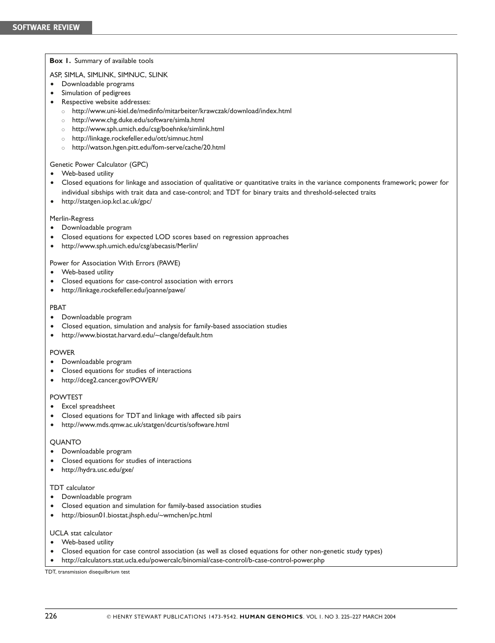#### Box 1. Summary of available tools

#### ASP, SIMLA, SIMLINK, SIMNUC, SLINK

- † Downloadable programs
- Simulation of pedigrees
- Respective website addresses:
	- o http://www.uni-kiel.de/medinfo/mitarbeiter/krawczak/download/index.html
	- o http://www.chg.duke.edu/software/simla.html
	- o http://www.sph.umich.edu/csg/boehnke/simlink.html
	- o http://linkage.rockefeller.edu/ott/simnuc.html
	- o http://watson.hgen.pitt.edu/fom-serve/cache/20.html

#### Genetic Power Calculator (GPC)

- Web-based utility
- Closed equations for linkage and association of qualitative or quantitative traits in the variance components framework; power for individual sibships with trait data and case-control; and TDT for binary traits and threshold-selected traits
- http://statgen.iop.kcl.ac.uk/gpc/

#### Merlin-Regress

- Downloadable program
- † Closed equations for expected LOD scores based on regression approaches
- http://www.sph.umich.edu/csg/abecasis/Merlin/

#### Power for Association With Errors (PAWE)

- Web-based utility
- † Closed equations for case-control association with errors
- † http://linkage.rockefeller.edu/joanne/pawe/

#### PBAT

- Downloadable program
- † Closed equation, simulation and analysis for family-based association studies
- † http://www.biostat.harvard.edu/~clange/default.htm

#### POWER

- Downloadable program
- † Closed equations for studies of interactions
- http://dceg2.cancer.gov/POWER/

#### POWTEST

- Excel spreadsheet
- † Closed equations for TDT and linkage with affected sib pairs
- † http://www.mds.qmw.ac.uk/statgen/dcurtis/software.html

#### QUANTO

- † Downloadable program
- † Closed equations for studies of interactions
- http://hydra.usc.edu/gxe/

#### TDT calculator

- Downloadable program
- † Closed equation and simulation for family-based association studies
- † http://biosun01.biostat.jhsph.edu/~wmchen/pc.html

#### UCLA stat calculator

- † Web-based utility
- † Closed equation for case control association (as well as closed equations for other non-genetic study types)
- † http://calculators.stat.ucla.edu/powercalc/binomial/case-control/b-case-control-power.php

TDT, transmission disequilbrium test